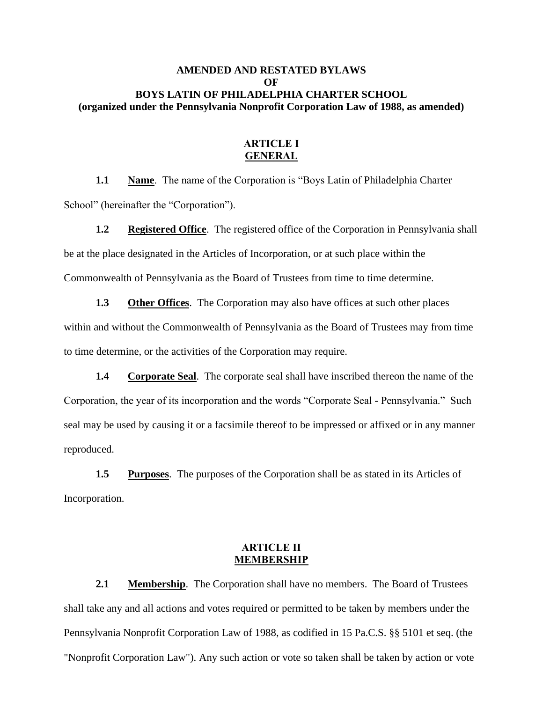# **AMENDED AND RESTATED BYLAWS OF BOYS LATIN OF PHILADELPHIA CHARTER SCHOOL (organized under the Pennsylvania Nonprofit Corporation Law of 1988, as amended)**

## **ARTICLE I GENERAL**

**1.1 Name**. The name of the Corporation is "Boys Latin of Philadelphia Charter School" (hereinafter the "Corporation").

**1.2 Registered Office**. The registered office of the Corporation in Pennsylvania shall be at the place designated in the Articles of Incorporation, or at such place within the Commonwealth of Pennsylvania as the Board of Trustees from time to time determine.

**1.3** Other Offices. The Corporation may also have offices at such other places within and without the Commonwealth of Pennsylvania as the Board of Trustees may from time to time determine, or the activities of the Corporation may require.

**1.4 Corporate Seal**. The corporate seal shall have inscribed thereon the name of the Corporation, the year of its incorporation and the words "Corporate Seal - Pennsylvania." Such seal may be used by causing it or a facsimile thereof to be impressed or affixed or in any manner reproduced.

**1.5 Purposes**. The purposes of the Corporation shall be as stated in its Articles of Incorporation.

## **ARTICLE II MEMBERSHIP**

**2.1 Membership**. The Corporation shall have no members. The Board of Trustees shall take any and all actions and votes required or permitted to be taken by members under the Pennsylvania Nonprofit Corporation Law of 1988, as codified in 15 Pa.C.S. §§ 5101 et seq. (the "Nonprofit Corporation Law"). Any such action or vote so taken shall be taken by action or vote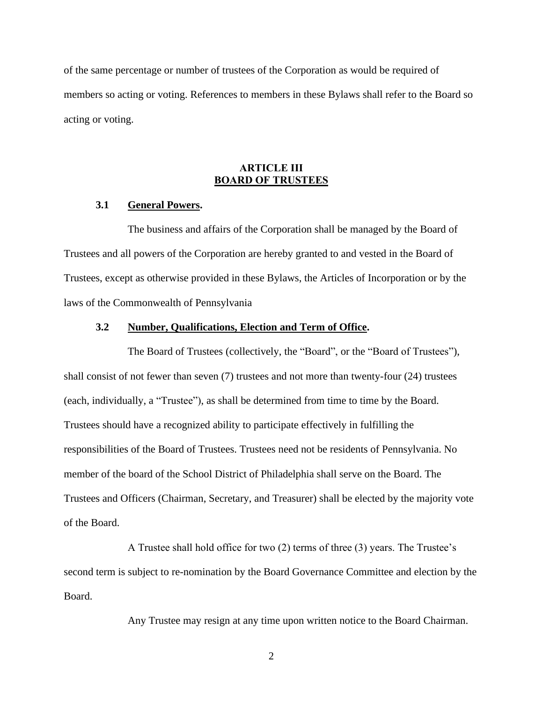of the same percentage or number of trustees of the Corporation as would be required of members so acting or voting. References to members in these Bylaws shall refer to the Board so acting or voting.

# **ARTICLE III BOARD OF TRUSTEES**

#### **3.1 General Powers.**

The business and affairs of the Corporation shall be managed by the Board of Trustees and all powers of the Corporation are hereby granted to and vested in the Board of Trustees, except as otherwise provided in these Bylaws, the Articles of Incorporation or by the laws of the Commonwealth of Pennsylvania

#### **3.2 Number, Qualifications, Election and Term of Office.**

The Board of Trustees (collectively, the "Board", or the "Board of Trustees"), shall consist of not fewer than seven (7) trustees and not more than twenty-four (24) trustees (each, individually, a "Trustee"), as shall be determined from time to time by the Board. Trustees should have a recognized ability to participate effectively in fulfilling the responsibilities of the Board of Trustees. Trustees need not be residents of Pennsylvania. No member of the board of the School District of Philadelphia shall serve on the Board. The Trustees and Officers (Chairman, Secretary, and Treasurer) shall be elected by the majority vote of the Board.

A Trustee shall hold office for two (2) terms of three (3) years. The Trustee's second term is subject to re-nomination by the Board Governance Committee and election by the Board.

Any Trustee may resign at any time upon written notice to the Board Chairman.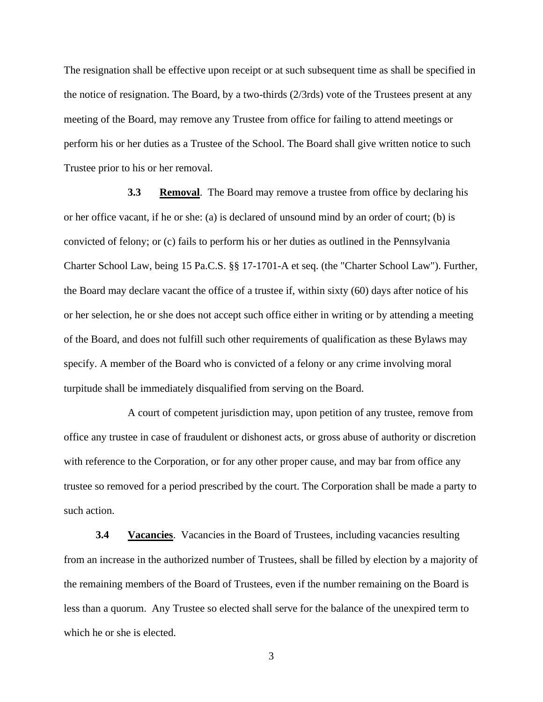The resignation shall be effective upon receipt or at such subsequent time as shall be specified in the notice of resignation. The Board, by a two-thirds  $(2/3rds)$  vote of the Trustees present at any meeting of the Board, may remove any Trustee from office for failing to attend meetings or perform his or her duties as a Trustee of the School. The Board shall give written notice to such Trustee prior to his or her removal.

**3.3 Removal**. The Board may remove a trustee from office by declaring his or her office vacant, if he or she: (a) is declared of unsound mind by an order of court; (b) is convicted of felony; or (c) fails to perform his or her duties as outlined in the Pennsylvania Charter School Law, being 15 Pa.C.S. §§ 17-1701-A et seq. (the "Charter School Law"). Further, the Board may declare vacant the office of a trustee if, within sixty (60) days after notice of his or her selection, he or she does not accept such office either in writing or by attending a meeting of the Board, and does not fulfill such other requirements of qualification as these Bylaws may specify. A member of the Board who is convicted of a felony or any crime involving moral turpitude shall be immediately disqualified from serving on the Board.

A court of competent jurisdiction may, upon petition of any trustee, remove from office any trustee in case of fraudulent or dishonest acts, or gross abuse of authority or discretion with reference to the Corporation, or for any other proper cause, and may bar from office any trustee so removed for a period prescribed by the court. The Corporation shall be made a party to such action.

**3.4 Vacancies**. Vacancies in the Board of Trustees, including vacancies resulting from an increase in the authorized number of Trustees, shall be filled by election by a majority of the remaining members of the Board of Trustees, even if the number remaining on the Board is less than a quorum. Any Trustee so elected shall serve for the balance of the unexpired term to which he or she is elected.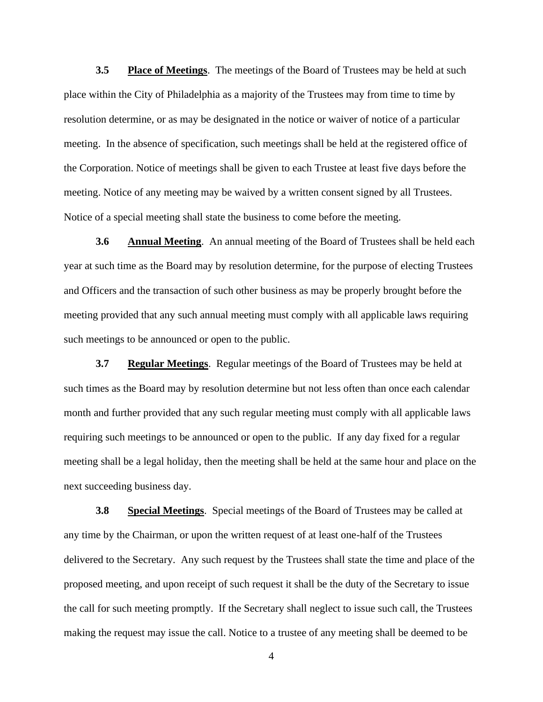**3.5 Place of Meetings**. The meetings of the Board of Trustees may be held at such place within the City of Philadelphia as a majority of the Trustees may from time to time by resolution determine, or as may be designated in the notice or waiver of notice of a particular meeting. In the absence of specification, such meetings shall be held at the registered office of the Corporation. Notice of meetings shall be given to each Trustee at least five days before the meeting. Notice of any meeting may be waived by a written consent signed by all Trustees. Notice of a special meeting shall state the business to come before the meeting.

**3.6 Annual Meeting**. An annual meeting of the Board of Trustees shall be held each year at such time as the Board may by resolution determine, for the purpose of electing Trustees and Officers and the transaction of such other business as may be properly brought before the meeting provided that any such annual meeting must comply with all applicable laws requiring such meetings to be announced or open to the public.

**3.7 Regular Meetings**. Regular meetings of the Board of Trustees may be held at such times as the Board may by resolution determine but not less often than once each calendar month and further provided that any such regular meeting must comply with all applicable laws requiring such meetings to be announced or open to the public. If any day fixed for a regular meeting shall be a legal holiday, then the meeting shall be held at the same hour and place on the next succeeding business day.

**3.8 Special Meetings**. Special meetings of the Board of Trustees may be called at any time by the Chairman, or upon the written request of at least one-half of the Trustees delivered to the Secretary. Any such request by the Trustees shall state the time and place of the proposed meeting, and upon receipt of such request it shall be the duty of the Secretary to issue the call for such meeting promptly. If the Secretary shall neglect to issue such call, the Trustees making the request may issue the call. Notice to a trustee of any meeting shall be deemed to be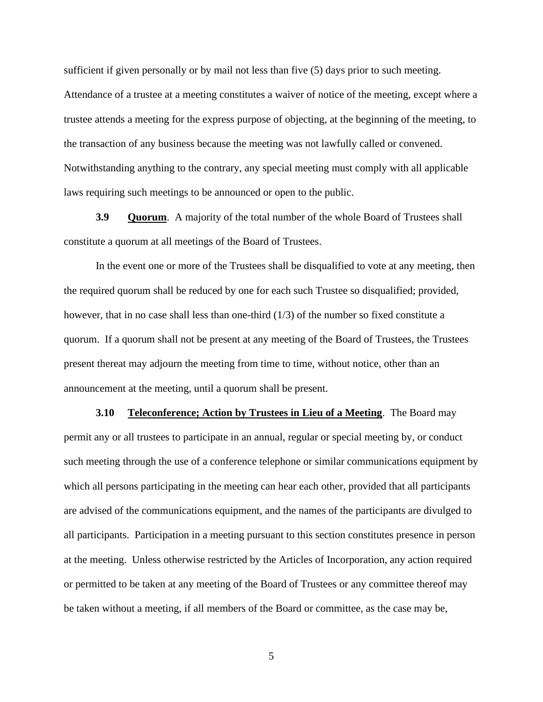sufficient if given personally or by mail not less than five (5) days prior to such meeting.

Attendance of a trustee at a meeting constitutes a waiver of notice of the meeting, except where a trustee attends a meeting for the express purpose of objecting, at the beginning of the meeting, to the transaction of any business because the meeting was not lawfully called or convened. Notwithstanding anything to the contrary, any special meeting must comply with all applicable laws requiring such meetings to be announced or open to the public.

**3.9 Quorum**. A majority of the total number of the whole Board of Trustees shall constitute a quorum at all meetings of the Board of Trustees.

In the event one or more of the Trustees shall be disqualified to vote at any meeting, then the required quorum shall be reduced by one for each such Trustee so disqualified; provided, however, that in no case shall less than one-third (1/3) of the number so fixed constitute a quorum. If a quorum shall not be present at any meeting of the Board of Trustees, the Trustees present thereat may adjourn the meeting from time to time, without notice, other than an announcement at the meeting, until a quorum shall be present.

**3.10 Teleconference; Action by Trustees in Lieu of a Meeting**. The Board may permit any or all trustees to participate in an annual, regular or special meeting by, or conduct such meeting through the use of a conference telephone or similar communications equipment by which all persons participating in the meeting can hear each other, provided that all participants are advised of the communications equipment, and the names of the participants are divulged to all participants. Participation in a meeting pursuant to this section constitutes presence in person at the meeting. Unless otherwise restricted by the Articles of Incorporation, any action required or permitted to be taken at any meeting of the Board of Trustees or any committee thereof may be taken without a meeting, if all members of the Board or committee, as the case may be,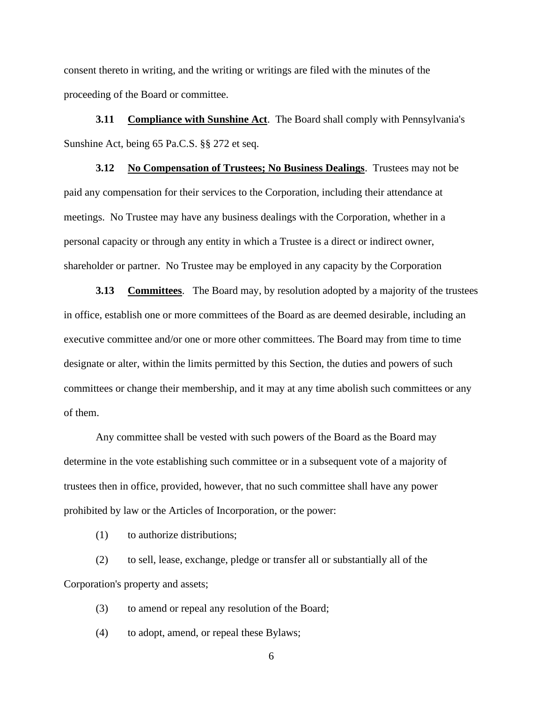consent thereto in writing, and the writing or writings are filed with the minutes of the proceeding of the Board or committee.

**3.11 Compliance with Sunshine Act.** The Board shall comply with Pennsylvania's Sunshine Act, being 65 Pa.C.S. §§ 272 et seq.

**3.12 No Compensation of Trustees; No Business Dealings**. Trustees may not be paid any compensation for their services to the Corporation, including their attendance at meetings. No Trustee may have any business dealings with the Corporation, whether in a personal capacity or through any entity in which a Trustee is a direct or indirect owner, shareholder or partner. No Trustee may be employed in any capacity by the Corporation

**3.13 Committees**. The Board may, by resolution adopted by a majority of the trustees in office, establish one or more committees of the Board as are deemed desirable, including an executive committee and/or one or more other committees. The Board may from time to time designate or alter, within the limits permitted by this Section, the duties and powers of such committees or change their membership, and it may at any time abolish such committees or any of them.

Any committee shall be vested with such powers of the Board as the Board may determine in the vote establishing such committee or in a subsequent vote of a majority of trustees then in office, provided, however, that no such committee shall have any power prohibited by law or the Articles of Incorporation, or the power:

(1) to authorize distributions;

(2) to sell, lease, exchange, pledge or transfer all or substantially all of the Corporation's property and assets;

(3) to amend or repeal any resolution of the Board;

(4) to adopt, amend, or repeal these Bylaws;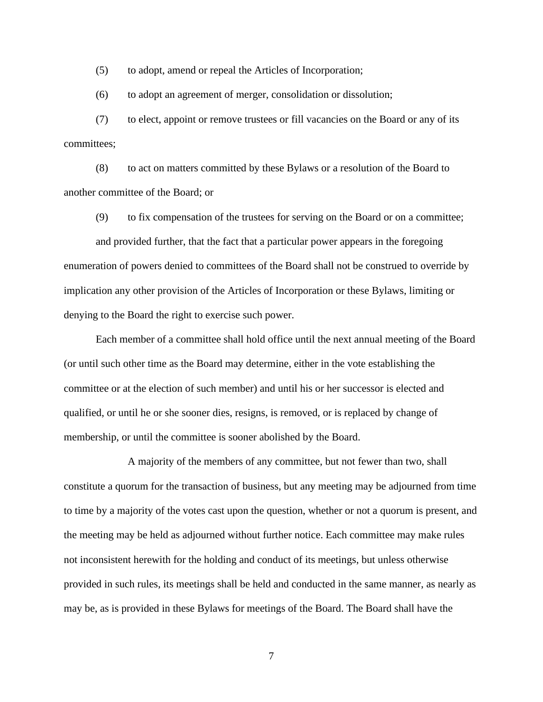(5) to adopt, amend or repeal the Articles of Incorporation;

(6) to adopt an agreement of merger, consolidation or dissolution;

(7) to elect, appoint or remove trustees or fill vacancies on the Board or any of its committees;

(8) to act on matters committed by these Bylaws or a resolution of the Board to another committee of the Board; or

(9) to fix compensation of the trustees for serving on the Board or on a committee; and provided further, that the fact that a particular power appears in the foregoing enumeration of powers denied to committees of the Board shall not be construed to override by implication any other provision of the Articles of Incorporation or these Bylaws, limiting or denying to the Board the right to exercise such power.

Each member of a committee shall hold office until the next annual meeting of the Board (or until such other time as the Board may determine, either in the vote establishing the committee or at the election of such member) and until his or her successor is elected and qualified, or until he or she sooner dies, resigns, is removed, or is replaced by change of membership, or until the committee is sooner abolished by the Board.

A majority of the members of any committee, but not fewer than two, shall constitute a quorum for the transaction of business, but any meeting may be adjourned from time to time by a majority of the votes cast upon the question, whether or not a quorum is present, and the meeting may be held as adjourned without further notice. Each committee may make rules not inconsistent herewith for the holding and conduct of its meetings, but unless otherwise provided in such rules, its meetings shall be held and conducted in the same manner, as nearly as may be, as is provided in these Bylaws for meetings of the Board. The Board shall have the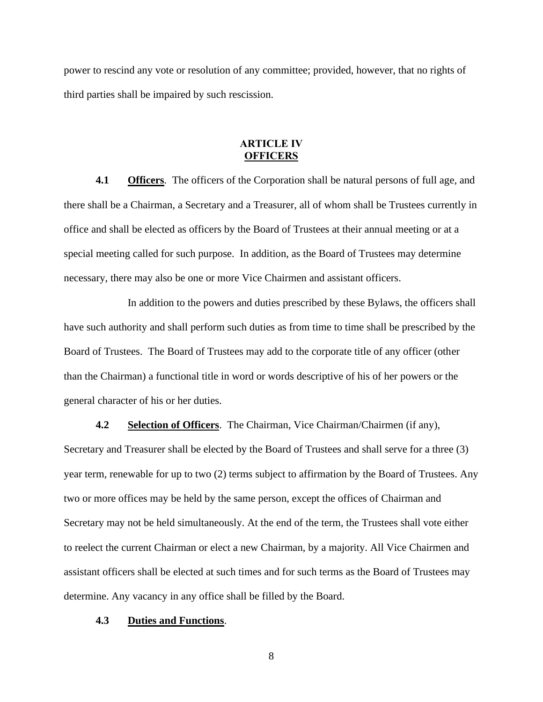power to rescind any vote or resolution of any committee; provided, however, that no rights of third parties shall be impaired by such rescission.

### **ARTICLE IV OFFICERS**

**4.1 Officers**. The officers of the Corporation shall be natural persons of full age, and there shall be a Chairman, a Secretary and a Treasurer, all of whom shall be Trustees currently in office and shall be elected as officers by the Board of Trustees at their annual meeting or at a special meeting called for such purpose. In addition, as the Board of Trustees may determine necessary, there may also be one or more Vice Chairmen and assistant officers.

In addition to the powers and duties prescribed by these Bylaws, the officers shall have such authority and shall perform such duties as from time to time shall be prescribed by the Board of Trustees. The Board of Trustees may add to the corporate title of any officer (other than the Chairman) a functional title in word or words descriptive of his of her powers or the general character of his or her duties.

**4.2 Selection of Officers**. The Chairman, Vice Chairman/Chairmen (if any),

Secretary and Treasurer shall be elected by the Board of Trustees and shall serve for a three (3) year term, renewable for up to two (2) terms subject to affirmation by the Board of Trustees. Any two or more offices may be held by the same person, except the offices of Chairman and Secretary may not be held simultaneously. At the end of the term, the Trustees shall vote either to reelect the current Chairman or elect a new Chairman, by a majority. All Vice Chairmen and assistant officers shall be elected at such times and for such terms as the Board of Trustees may determine. Any vacancy in any office shall be filled by the Board.

#### **4.3 Duties and Functions**.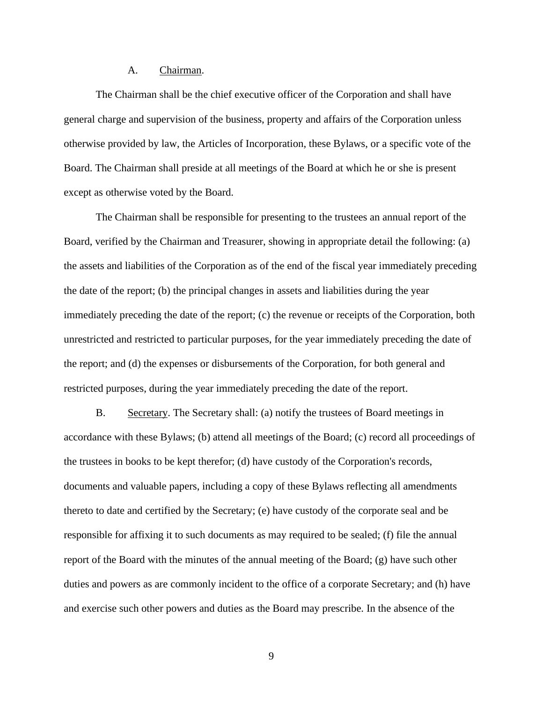#### A. Chairman.

The Chairman shall be the chief executive officer of the Corporation and shall have general charge and supervision of the business, property and affairs of the Corporation unless otherwise provided by law, the Articles of Incorporation, these Bylaws, or a specific vote of the Board. The Chairman shall preside at all meetings of the Board at which he or she is present except as otherwise voted by the Board.

The Chairman shall be responsible for presenting to the trustees an annual report of the Board, verified by the Chairman and Treasurer, showing in appropriate detail the following: (a) the assets and liabilities of the Corporation as of the end of the fiscal year immediately preceding the date of the report; (b) the principal changes in assets and liabilities during the year immediately preceding the date of the report; (c) the revenue or receipts of the Corporation, both unrestricted and restricted to particular purposes, for the year immediately preceding the date of the report; and (d) the expenses or disbursements of the Corporation, for both general and restricted purposes, during the year immediately preceding the date of the report.

B. Secretary. The Secretary shall: (a) notify the trustees of Board meetings in accordance with these Bylaws; (b) attend all meetings of the Board; (c) record all proceedings of the trustees in books to be kept therefor; (d) have custody of the Corporation's records, documents and valuable papers, including a copy of these Bylaws reflecting all amendments thereto to date and certified by the Secretary; (e) have custody of the corporate seal and be responsible for affixing it to such documents as may required to be sealed; (f) file the annual report of the Board with the minutes of the annual meeting of the Board; (g) have such other duties and powers as are commonly incident to the office of a corporate Secretary; and (h) have and exercise such other powers and duties as the Board may prescribe. In the absence of the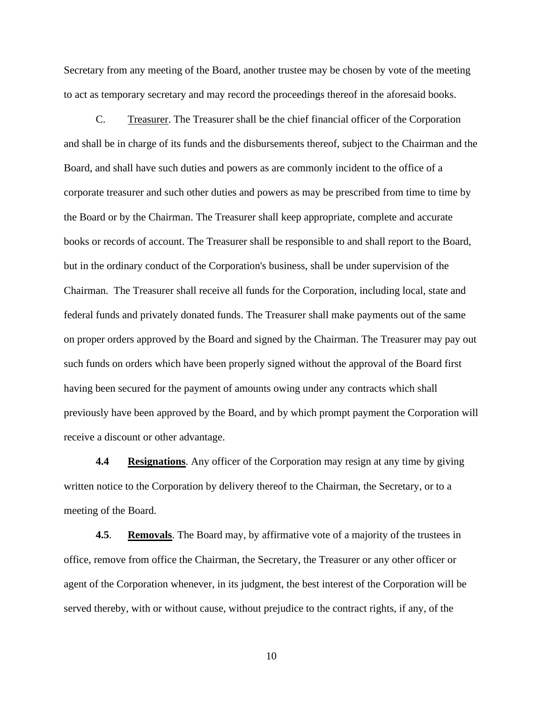Secretary from any meeting of the Board, another trustee may be chosen by vote of the meeting to act as temporary secretary and may record the proceedings thereof in the aforesaid books.

C. Treasurer. The Treasurer shall be the chief financial officer of the Corporation and shall be in charge of its funds and the disbursements thereof, subject to the Chairman and the Board, and shall have such duties and powers as are commonly incident to the office of a corporate treasurer and such other duties and powers as may be prescribed from time to time by the Board or by the Chairman. The Treasurer shall keep appropriate, complete and accurate books or records of account. The Treasurer shall be responsible to and shall report to the Board, but in the ordinary conduct of the Corporation's business, shall be under supervision of the Chairman. The Treasurer shall receive all funds for the Corporation, including local, state and federal funds and privately donated funds. The Treasurer shall make payments out of the same on proper orders approved by the Board and signed by the Chairman. The Treasurer may pay out such funds on orders which have been properly signed without the approval of the Board first having been secured for the payment of amounts owing under any contracts which shall previously have been approved by the Board, and by which prompt payment the Corporation will receive a discount or other advantage.

**4.4 Resignations**. Any officer of the Corporation may resign at any time by giving written notice to the Corporation by delivery thereof to the Chairman, the Secretary, or to a meeting of the Board.

**4.5**. **Removals**. The Board may, by affirmative vote of a majority of the trustees in office, remove from office the Chairman, the Secretary, the Treasurer or any other officer or agent of the Corporation whenever, in its judgment, the best interest of the Corporation will be served thereby, with or without cause, without prejudice to the contract rights, if any, of the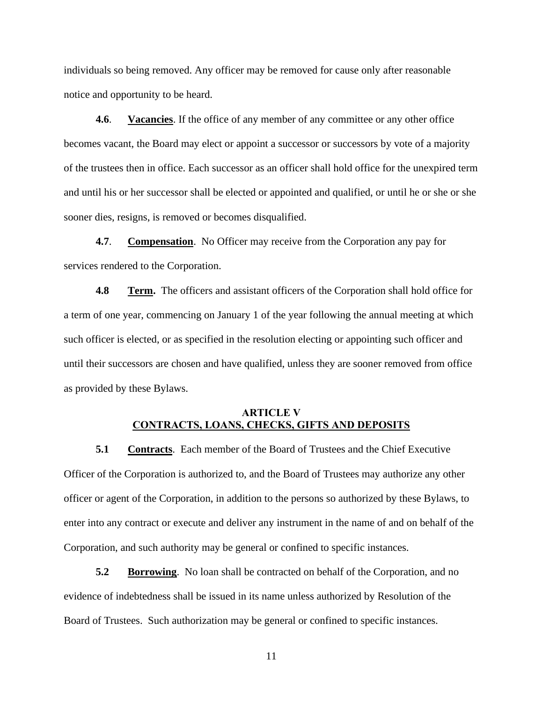individuals so being removed. Any officer may be removed for cause only after reasonable notice and opportunity to be heard.

**4.6**. **Vacancies**. If the office of any member of any committee or any other office becomes vacant, the Board may elect or appoint a successor or successors by vote of a majority of the trustees then in office. Each successor as an officer shall hold office for the unexpired term and until his or her successor shall be elected or appointed and qualified, or until he or she or she sooner dies, resigns, is removed or becomes disqualified.

**4.7**. **Compensation**. No Officer may receive from the Corporation any pay for services rendered to the Corporation.

**4.8 Term.** The officers and assistant officers of the Corporation shall hold office for a term of one year, commencing on January 1 of the year following the annual meeting at which such officer is elected, or as specified in the resolution electing or appointing such officer and until their successors are chosen and have qualified, unless they are sooner removed from office as provided by these Bylaws.

### **ARTICLE V CONTRACTS, LOANS, CHECKS, GIFTS AND DEPOSITS**

**5.1 Contracts**. Each member of the Board of Trustees and the Chief Executive Officer of the Corporation is authorized to, and the Board of Trustees may authorize any other officer or agent of the Corporation, in addition to the persons so authorized by these Bylaws, to enter into any contract or execute and deliver any instrument in the name of and on behalf of the Corporation, and such authority may be general or confined to specific instances.

**5.2 Borrowing**. No loan shall be contracted on behalf of the Corporation, and no evidence of indebtedness shall be issued in its name unless authorized by Resolution of the Board of Trustees. Such authorization may be general or confined to specific instances.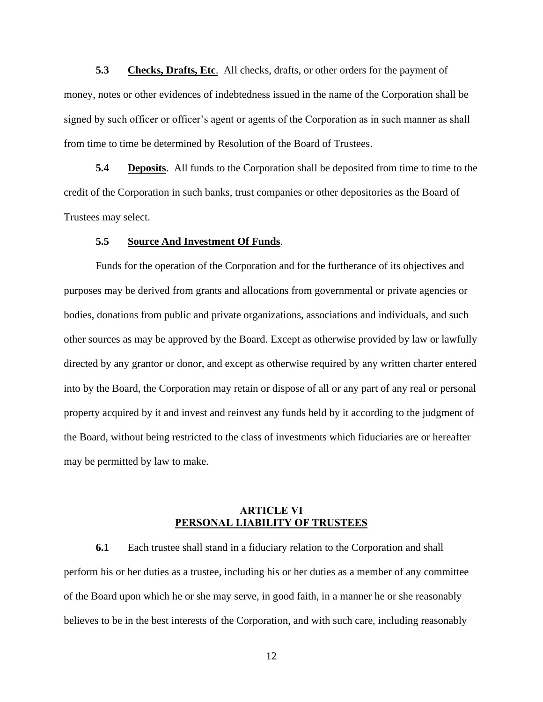**5.3 Checks, Drafts, Etc**. All checks, drafts, or other orders for the payment of money, notes or other evidences of indebtedness issued in the name of the Corporation shall be signed by such officer or officer's agent or agents of the Corporation as in such manner as shall from time to time be determined by Resolution of the Board of Trustees.

**5.4 Deposits**. All funds to the Corporation shall be deposited from time to time to the credit of the Corporation in such banks, trust companies or other depositories as the Board of Trustees may select.

#### **5.5 Source And Investment Of Funds**.

Funds for the operation of the Corporation and for the furtherance of its objectives and purposes may be derived from grants and allocations from governmental or private agencies or bodies, donations from public and private organizations, associations and individuals, and such other sources as may be approved by the Board. Except as otherwise provided by law or lawfully directed by any grantor or donor, and except as otherwise required by any written charter entered into by the Board, the Corporation may retain or dispose of all or any part of any real or personal property acquired by it and invest and reinvest any funds held by it according to the judgment of the Board, without being restricted to the class of investments which fiduciaries are or hereafter may be permitted by law to make.

## **ARTICLE VI PERSONAL LIABILITY OF TRUSTEES**

**6.1** Each trustee shall stand in a fiduciary relation to the Corporation and shall perform his or her duties as a trustee, including his or her duties as a member of any committee of the Board upon which he or she may serve, in good faith, in a manner he or she reasonably believes to be in the best interests of the Corporation, and with such care, including reasonably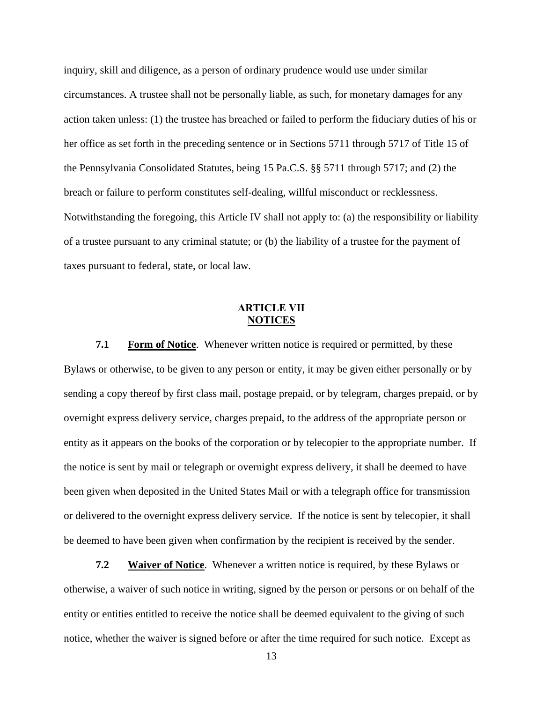inquiry, skill and diligence, as a person of ordinary prudence would use under similar circumstances. A trustee shall not be personally liable, as such, for monetary damages for any action taken unless: (1) the trustee has breached or failed to perform the fiduciary duties of his or her office as set forth in the preceding sentence or in Sections 5711 through 5717 of Title 15 of the Pennsylvania Consolidated Statutes, being 15 Pa.C.S. §§ 5711 through 5717; and (2) the breach or failure to perform constitutes self-dealing, willful misconduct or recklessness. Notwithstanding the foregoing, this Article IV shall not apply to: (a) the responsibility or liability of a trustee pursuant to any criminal statute; or (b) the liability of a trustee for the payment of taxes pursuant to federal, state, or local law.

# **ARTICLE VII NOTICES**

**7.1 Form of Notice**. Whenever written notice is required or permitted, by these Bylaws or otherwise, to be given to any person or entity, it may be given either personally or by sending a copy thereof by first class mail, postage prepaid, or by telegram, charges prepaid, or by overnight express delivery service, charges prepaid, to the address of the appropriate person or entity as it appears on the books of the corporation or by telecopier to the appropriate number. If the notice is sent by mail or telegraph or overnight express delivery, it shall be deemed to have been given when deposited in the United States Mail or with a telegraph office for transmission or delivered to the overnight express delivery service. If the notice is sent by telecopier, it shall be deemed to have been given when confirmation by the recipient is received by the sender.

**7.2 Waiver of Notice**. Whenever a written notice is required, by these Bylaws or otherwise, a waiver of such notice in writing, signed by the person or persons or on behalf of the entity or entities entitled to receive the notice shall be deemed equivalent to the giving of such notice, whether the waiver is signed before or after the time required for such notice. Except as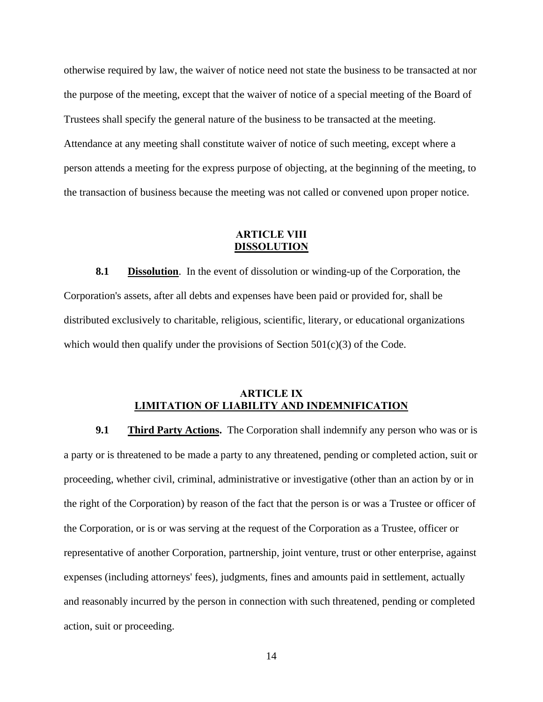otherwise required by law, the waiver of notice need not state the business to be transacted at nor the purpose of the meeting, except that the waiver of notice of a special meeting of the Board of Trustees shall specify the general nature of the business to be transacted at the meeting. Attendance at any meeting shall constitute waiver of notice of such meeting, except where a person attends a meeting for the express purpose of objecting, at the beginning of the meeting, to the transaction of business because the meeting was not called or convened upon proper notice.

## **ARTICLE VIII DISSOLUTION**

**8.1 Dissolution**. In the event of dissolution or winding-up of the Corporation, the Corporation's assets, after all debts and expenses have been paid or provided for, shall be distributed exclusively to charitable, religious, scientific, literary, or educational organizations which would then qualify under the provisions of Section  $501(c)(3)$  of the Code.

# **ARTICLE IX LIMITATION OF LIABILITY AND INDEMNIFICATION**

**9.1 Third Party Actions.** The Corporation shall indemnify any person who was or is a party or is threatened to be made a party to any threatened, pending or completed action, suit or proceeding, whether civil, criminal, administrative or investigative (other than an action by or in the right of the Corporation) by reason of the fact that the person is or was a Trustee or officer of the Corporation, or is or was serving at the request of the Corporation as a Trustee, officer or representative of another Corporation, partnership, joint venture, trust or other enterprise, against expenses (including attorneys' fees), judgments, fines and amounts paid in settlement, actually and reasonably incurred by the person in connection with such threatened, pending or completed action, suit or proceeding.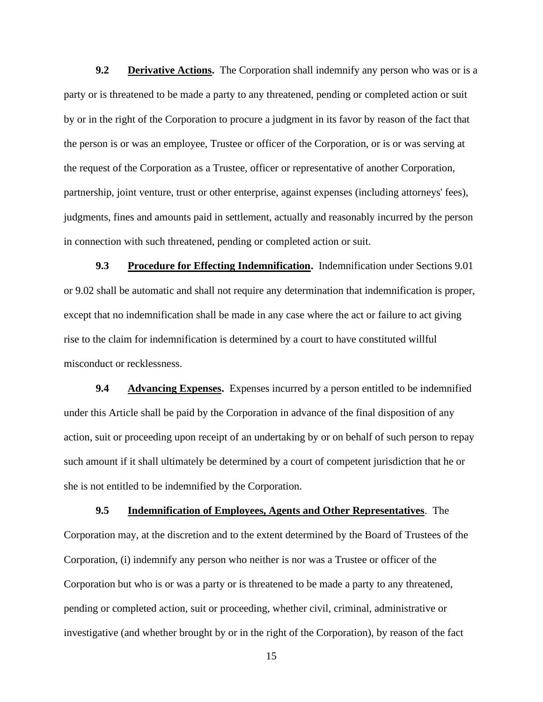**9.2 Derivative Actions.** The Corporation shall indemnify any person who was or is a party or is threatened to be made a party to any threatened, pending or completed action or suit by or in the right of the Corporation to procure a judgment in its favor by reason of the fact that the person is or was an employee, Trustee or officer of the Corporation, or is or was serving at the request of the Corporation as a Trustee, officer or representative of another Corporation, partnership, joint venture, trust or other enterprise, against expenses (including attorneys' fees), judgments, fines and amounts paid in settlement, actually and reasonably incurred by the person in connection with such threatened, pending or completed action or suit.

**9.3 Procedure for Effecting Indemnification.** Indemnification under Sections 9.01 or 9.02 shall be automatic and shall not require any determination that indemnification is proper, except that no indemnification shall be made in any case where the act or failure to act giving rise to the claim for indemnification is determined by a court to have constituted willful misconduct or recklessness.

**9.4 Advancing Expenses.** Expenses incurred by a person entitled to be indemnified under this Article shall be paid by the Corporation in advance of the final disposition of any action, suit or proceeding upon receipt of an undertaking by or on behalf of such person to repay such amount if it shall ultimately be determined by a court of competent jurisdiction that he or she is not entitled to be indemnified by the Corporation.

**9.5 Indemnification of Employees, Agents and Other Representatives**. The Corporation may, at the discretion and to the extent determined by the Board of Trustees of the Corporation, (i) indemnify any person who neither is nor was a Trustee or officer of the Corporation but who is or was a party or is threatened to be made a party to any threatened, pending or completed action, suit or proceeding, whether civil, criminal, administrative or investigative (and whether brought by or in the right of the Corporation), by reason of the fact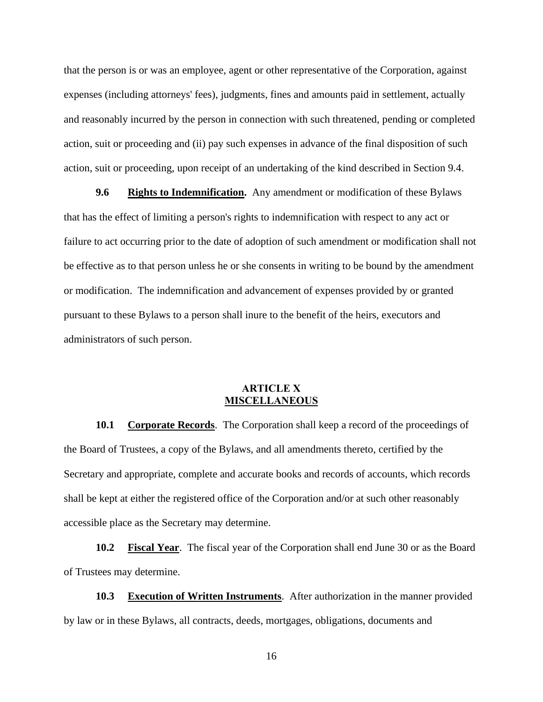that the person is or was an employee, agent or other representative of the Corporation, against expenses (including attorneys' fees), judgments, fines and amounts paid in settlement, actually and reasonably incurred by the person in connection with such threatened, pending or completed action, suit or proceeding and (ii) pay such expenses in advance of the final disposition of such action, suit or proceeding, upon receipt of an undertaking of the kind described in Section 9.4.

**9.6 Rights to Indemnification.** Any amendment or modification of these Bylaws that has the effect of limiting a person's rights to indemnification with respect to any act or failure to act occurring prior to the date of adoption of such amendment or modification shall not be effective as to that person unless he or she consents in writing to be bound by the amendment or modification. The indemnification and advancement of expenses provided by or granted pursuant to these Bylaws to a person shall inure to the benefit of the heirs, executors and administrators of such person.

## **ARTICLE X MISCELLANEOUS**

**10.1 Corporate Records**. The Corporation shall keep a record of the proceedings of the Board of Trustees, a copy of the Bylaws, and all amendments thereto, certified by the Secretary and appropriate, complete and accurate books and records of accounts, which records shall be kept at either the registered office of the Corporation and/or at such other reasonably accessible place as the Secretary may determine.

**10.2 Fiscal Year**. The fiscal year of the Corporation shall end June 30 or as the Board of Trustees may determine.

**10.3 Execution of Written Instruments**. After authorization in the manner provided by law or in these Bylaws, all contracts, deeds, mortgages, obligations, documents and